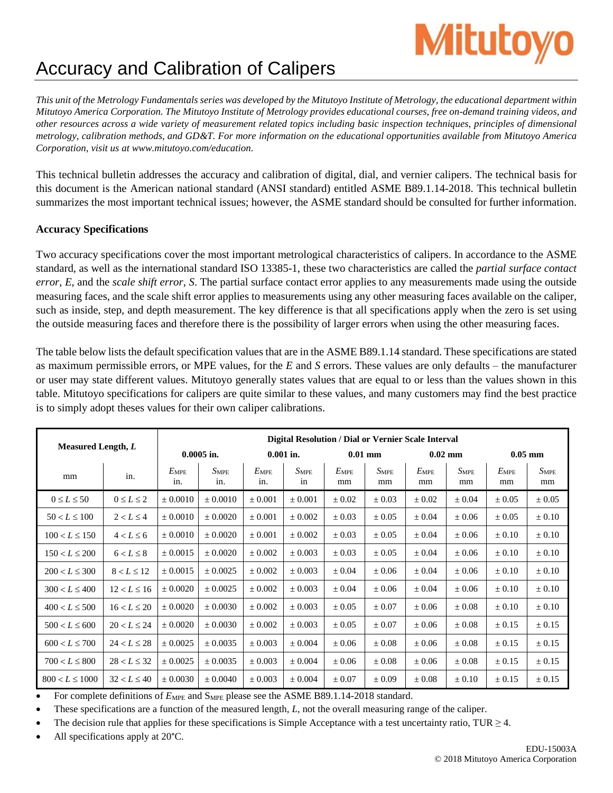## Accuracy and Calibration of Calipers

This unit of the Metrology Fundamentals series was developed by the Mitutoyo Institute of Metrology, the educational department within Mitutoyo America Corporation. The Mitutoyo Institute of Metrology provides educational courses, free on-demand training videos, and other resources across a wide variety of measurement related topics including basic inspection techniques, principles of dimensional metrology, calibration methods, and GD&T. For more information on the educational opportunities available from Mitutoyo America *Corporation, visit us at [www.mitutoyo.com/education.](http://www.mitutoyo.com/education)*

This technical bulletin addresses the accuracy and calibration of digital, dial, and vernier calipers. The technical basis for this document is the American national standard (ANSI standard) entitled ASME B89.1.14-2018. This technical bulletin summarizes the most important technical issues; however, the ASME standard should be consulted for further information.

## **Accuracy Specifications**

Two accuracy specifications cover the most important metrological characteristics of calipers. In accordance to the ASME standard, as well as the international standard ISO 13385-1, these two characteristics are called the *partial surface contact error*, *E*, and the *scale shift error*, *S*. The partial surface contact error applies to any measurements made using the outside measuring faces, and the scale shift error applies to measurements using any other measuring faces available on the caliper, such as inside, step, and depth measurement. The key difference is that all specifications apply when the zero is set using the outside measuring faces and therefore there is the possibility of larger errors when using the other measuring faces.

The table below lists the default specification values that are in the ASME B89.1.14 standard. These specifications are stated as maximum permissible errors, or MPE values, for the *E* and *S* errors. These values are only defaults – the manufacturer or user may state different values. Mitutoyo generally states values that are equal to or less than the values shown in this table. Mitutoyo specifications for calipers are quite similar to these values, and many customers may find the best practice is to simply adopt theses values for their own caliper calibrations.

| Measured Length, L |                  | <b>Digital Resolution / Dial or Vernier Scale Interval</b> |                  |                      |                        |                     |                 |                     |                 |                     |                 |
|--------------------|------------------|------------------------------------------------------------|------------------|----------------------|------------------------|---------------------|-----------------|---------------------|-----------------|---------------------|-----------------|
|                    |                  | $0.0005$ in.                                               |                  | $0.001$ in.          |                        | $0.01$ mm           |                 | $0.02$ mm           |                 | $0.05$ mm           |                 |
| mm                 | in.              | $E_{\rm MPE}$<br>in.                                       | $S_{MPE}$<br>in. | $E_{\rm MPE}$<br>in. | $S_{\text{MPE}}$<br>in | $E_{\rm MPE}$<br>mm | $S_{MPE}$<br>mm | $E_{\rm MPE}$<br>mm | $S_{MPE}$<br>mm | $E_{\rm MPE}$<br>mm | $S_{MPE}$<br>mm |
| $0 \leq L \leq 50$ | $0 \le L \le 2$  | ± 0.0010                                                   | $\pm 0.0010$     | ± 0.001              | ± 0.001                | $\pm 0.02$          | $\pm 0.03$      | $\pm 0.02$          | $\pm 0.04$      | $\pm 0.05$          | $\pm 0.05$      |
| $50 < L \leq 100$  | $2 < L \leq 4$   | ± 0.0010                                                   | ± 0.0020         | $\pm 0.001$          | $\pm 0.002$            | $\pm 0.03$          | $\pm 0.05$      | $\pm 0.04$          | $\pm 0.06$      | $\pm 0.05$          | $\pm 0.10$      |
| $100 < L \le 150$  | $4 < L \leq 6$   | $\pm 0.0010$                                               | $\pm 0.0020$     | $\pm 0.001$          | $\pm 0.002$            | $\pm 0.03$          | $\pm 0.05$      | $\pm 0.04$          | $\pm 0.06$      | $\pm 0.10$          | $\pm 0.10$      |
| $150 < L \le 200$  | $6 < L \leq 8$   | ± 0.0015                                                   | ± 0.0020         | $\pm 0.002$          | $\pm 0.003$            | $\pm 0.03$          | $\pm 0.05$      | $\pm 0.04$          | $\pm 0.06$      | $\pm 0.10$          | $\pm 0.10$      |
| $200 < L \leq 300$ | $8 < L \le 12$   | ± 0.0015                                                   | ± 0.0025         | $\pm 0.002$          | $\pm 0.003$            | $\pm 0.04$          | $\pm 0.06$      | $\pm 0.04$          | $\pm 0.06$      | $\pm 0.10$          | $\pm 0.10$      |
| $300 < L \leq 400$ | $12 < L \le 16$  | ± 0.0020                                                   | ± 0.0025         | ± 0.002              | $\pm 0.003$            | $\pm 0.04$          | $\pm 0.06$      | $\pm 0.04$          | $\pm 0.06$      | $\pm 0.10$          | $\pm 0.10$      |
| $400 < L \leq 500$ | $16 < L \le 20$  | ± 0.0020                                                   | ± 0.0030         | ± 0.002              | ± 0.003                | $\pm 0.05$          | $\pm 0.07$      | $\pm 0.06$          | $\pm 0.08$      | $\pm 0.10$          | $\pm 0.10$      |
| $500 < L \leq 600$ | $20 < L \le 24$  | ± 0.0020                                                   | $\pm 0.0030$     | $\pm 0.002$          | $\pm 0.003$            | $\pm 0.05$          | $\pm 0.07$      | $\pm 0.06$          | $\pm 0.08$      | $\pm 0.15$          | $\pm 0.15$      |
| $600 < L \leq 700$ | $24 < L \le 28$  | ± 0.0025                                                   | ± 0.0035         | $\pm 0.003$          | $\pm 0.004$            | $\pm 0.06$          | $\pm 0.08$      | $\pm 0.06$          | $\pm 0.08$      | $\pm 0.15$          | $\pm 0.15$      |
| $700 < L \leq 800$ | $28 < L \leq 32$ | ± 0.0025                                                   | ± 0.0035         | $\pm 0.003$          | $\pm 0.004$            | $\pm 0.06$          | $\pm 0.08$      | $\pm 0.06$          | $\pm 0.08$      | $\pm 0.15$          | $\pm 0.15$      |
| $800 < L \le 1000$ | $32 < L \le 40$  | ± 0.0030                                                   | ± 0.0040         | $\pm 0.003$          | $\pm 0.004$            | $\pm 0.07$          | $\pm 0.09$      | $\pm 0.08$          | $\pm 0.10$      | $\pm 0.15$          | $\pm 0.15$      |

For complete definitions of  $E_{\text{MPE}}$  and  $S_{\text{MPE}}$  please see the ASME B89.1.14-2018 standard.

These specifications are a function of the measured length, *L*, not the overall measuring range of the caliper.

The decision rule that applies for these specifications is Simple Acceptance with a test uncertainty ratio, TUR  $\geq$  4.

All specifications apply at 20°C.

**Mitutoyo**